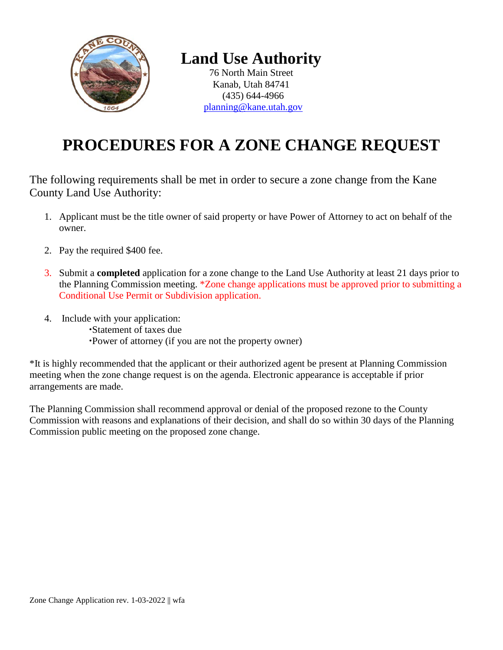

## **Land Use Authority**

76 North Main Street Kanab, Utah 84741 (435) 644-4966 [planning@kane.utah.gov](mailto:planning@kane.utah.gov)

## **PROCEDURES FOR A ZONE CHANGE REQUEST**

The following requirements shall be met in order to secure a zone change from the Kane County Land Use Authority:

- 1. Applicant must be the title owner of said property or have Power of Attorney to act on behalf of the owner.
- 2. Pay the required \$400 fee.
- 3. Submit a **completed** application for a zone change to the Land Use Authority at least 21 days prior to the Planning Commission meeting. \*Zone change applications must be approved prior to submitting a Conditional Use Permit or Subdivision application.
- 4. Include with your application: Statement of taxes due Power of attorney (if you are not the property owner)

\*It is highly recommended that the applicant or their authorized agent be present at Planning Commission meeting when the zone change request is on the agenda. Electronic appearance is acceptable if prior arrangements are made.

The Planning Commission shall recommend approval or denial of the proposed rezone to the County Commission with reasons and explanations of their decision, and shall do so within 30 days of the Planning Commission public meeting on the proposed zone change.